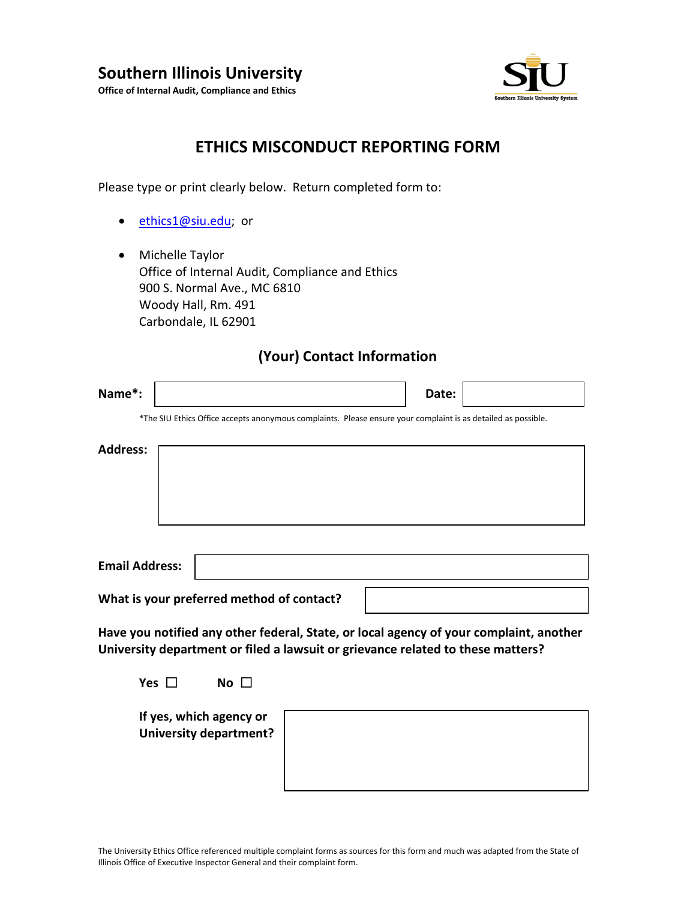

## **ETHICS MISCONDUCT REPORTING FORM**

Please type or print clearly below. Return completed form to:

- [ethics1@siu.edu;](mailto:ethics1@siu.edu) or
- Michelle Taylor Office of Internal Audit, Compliance and Ethics 900 S. Normal Ave., MC 6810 Woody Hall, Rm. 491 Carbondale, IL 62901

#### **(Your) Contact Information**

| Name*:                                                                                                                                                                    | Date: |  |  |  |
|---------------------------------------------------------------------------------------------------------------------------------------------------------------------------|-------|--|--|--|
| *The SIU Ethics Office accepts anonymous complaints. Please ensure your complaint is as detailed as possible.                                                             |       |  |  |  |
| <b>Address:</b>                                                                                                                                                           |       |  |  |  |
| <b>Email Address:</b>                                                                                                                                                     |       |  |  |  |
| What is your preferred method of contact?                                                                                                                                 |       |  |  |  |
| Have you notified any other federal, State, or local agency of your complaint, another<br>University department or filed a lawsuit or grievance related to these matters? |       |  |  |  |
| Yes $\Box$<br>No $\Box$                                                                                                                                                   |       |  |  |  |
| If yes, which agency or<br>University department?                                                                                                                         |       |  |  |  |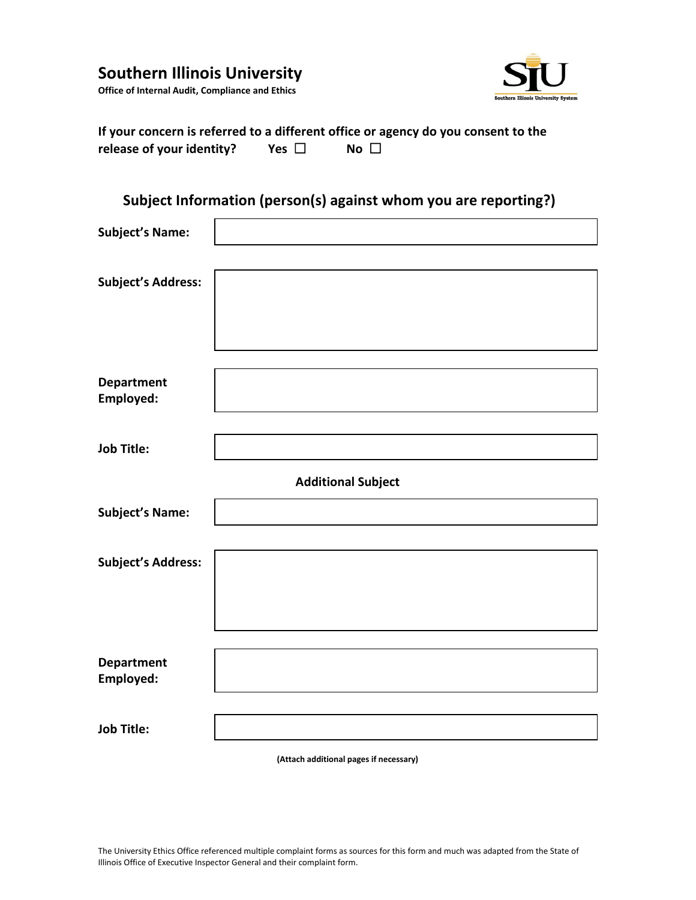# **Southern Illinois University**



**Office of Internal Audit, Compliance and Ethics**

| If your concern is referred to a different office or agency do you consent to the |            |             |  |
|-----------------------------------------------------------------------------------|------------|-------------|--|
| release of your identity?                                                         | Yes $\Box$ | $No \ \Box$ |  |

## **Subject Information (person(s) against whom you are reporting?)**

| <b>Subject's Name:</b>         |  |  |
|--------------------------------|--|--|
| <b>Subject's Address:</b>      |  |  |
| <b>Department</b><br>Employed: |  |  |
| <b>Job Title:</b>              |  |  |
| <b>Additional Subject</b>      |  |  |
| <b>Subject's Name:</b>         |  |  |
| <b>Subject's Address:</b>      |  |  |
| Department<br>Employed:        |  |  |
| <b>Job Title:</b>              |  |  |

**(Attach additional pages if necessary)**